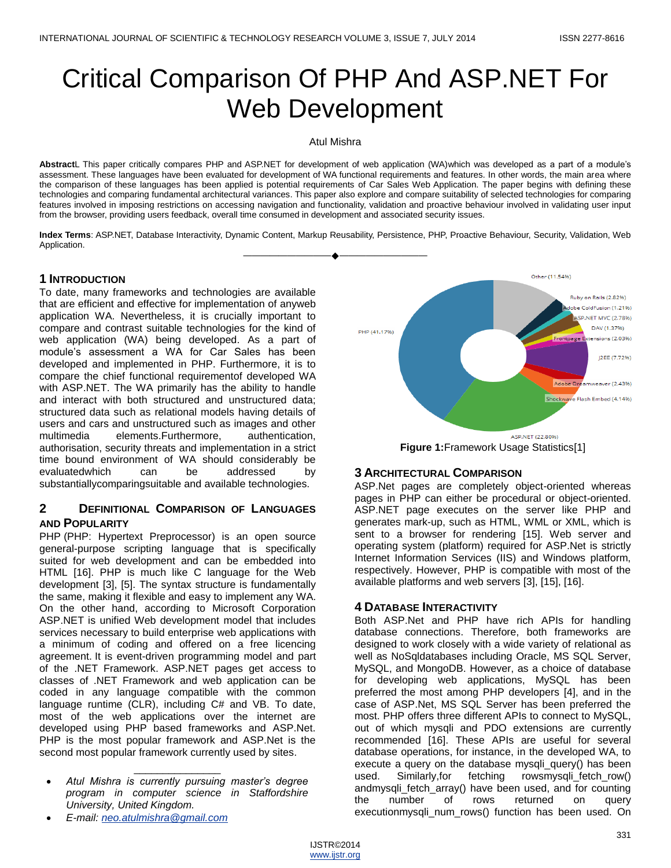# Critical Comparison Of PHP And ASP.NET For Web Development

Atul Mishra

**Abstract**L This paper critically compares PHP and ASP.NET for development of web application (WA)which was developed as a part of a module's assessment. These languages have been evaluated for development of WA functional requirements and features. In other words, the main area where the comparison of these languages has been applied is potential requirements of Car Sales Web Application. The paper begins with defining these technologies and comparing fundamental architectural variances. This paper also explore and compare suitability of selected technologies for comparing features involved in imposing restrictions on accessing navigation and functionality, validation and proactive behaviour involved in validating user input from the browser, providing users feedback, overall time consumed in development and associated security issues.

**Index Terms**: ASP.NET, Database Interactivity, Dynamic Content, Markup Reusability, Persistence, PHP, Proactive Behaviour, Security, Validation, Web Application. ————————————————————

## **1 INTRODUCTION**

To date, many frameworks and technologies are available that are efficient and effective for implementation of anyweb application WA. Nevertheless, it is crucially important to compare and contrast suitable technologies for the kind of web application (WA) being developed. As a part of module's assessment a WA for Car Sales has been developed and implemented in PHP. Furthermore, it is to compare the chief functional requirementof developed WA with ASP.NET. The WA primarily has the ability to handle and interact with both structured and unstructured data; structured data such as relational models having details of users and cars and unstructured such as images and other multimedia elements.Furthermore, authentication, authorisation, security threats and implementation in a strict time bound environment of WA should considerably be evaluatedwhich can be addressed by substantiallycomparingsuitable and available technologies.

## **2 DEFINITIONAL COMPARISON OF LANGUAGES AND POPULARITY**

PHP (PHP: Hypertext Preprocessor) is an open source general-purpose scripting language that is specifically suited for web development and can be embedded into HTML [16]. PHP is much like C language for the Web development [3], [5]. The syntax structure is fundamentally the same, making it flexible and easy to implement any WA. On the other hand, according to Microsoft Corporation ASP.NET is unified Web development model that includes services necessary to build enterprise web applications with a minimum of coding and offered on a free licencing agreement. It is event-driven programming model and part of the .NET Framework. ASP.NET pages get access to classes of .NET Framework and web application can be coded in any language compatible with the common language runtime (CLR), including C# and VB. To date, most of the web applications over the internet are developed using PHP based frameworks and ASP.Net. PHP is the most popular framework and ASP.Net is the second most popular framework currently used by sites.

 *Atul Mishra is currently pursuing master's degree program in computer science in Staffordshire University, United Kingdom.*

\_\_\_\_\_\_\_\_\_\_\_\_\_\_\_

*E-mail: [neo.atulmishra@gmail.com](mailto:neo.atulmishra@gmail.com)*



**Figure 1:**Framework Usage Statistics[1]

## **3 ARCHITECTURAL COMPARISON**

ASP.Net pages are completely object-oriented whereas pages in PHP can either be procedural or object-oriented. ASP.NET page executes on the server like PHP and generates mark-up, such as HTML, WML or XML, which is sent to a browser for rendering [15]. Web server and operating system (platform) required for ASP.Net is strictly Internet Information Services (IIS) and Windows platform, respectively. However, PHP is compatible with most of the available platforms and web servers [3], [15], [16].

## **4 DATABASE INTERACTIVITY**

Both ASP.Net and PHP have rich APIs for handling database connections. Therefore, both frameworks are designed to work closely with a wide variety of relational as well as NoSqldatabases including Oracle, MS SQL Server, MySQL, and MongoDB. However, as a choice of database for developing web applications, MySQL has been preferred the most among PHP developers [4], and in the case of ASP.Net, MS SQL Server has been preferred the most. PHP offers three different APIs to connect to MySQL, out of which mysqli and PDO extensions are currently recommended [16]. These APIs are useful for several database operations, for instance, in the developed WA, to execute a query on the database mysqli\_query() has been used. Similarly,for fetching rowsmysqli\_fetch\_row() andmysqli\_fetch\_array() have been used, and for counting the number of rows returned on query executionmysqli\_num\_rows() function has been used. On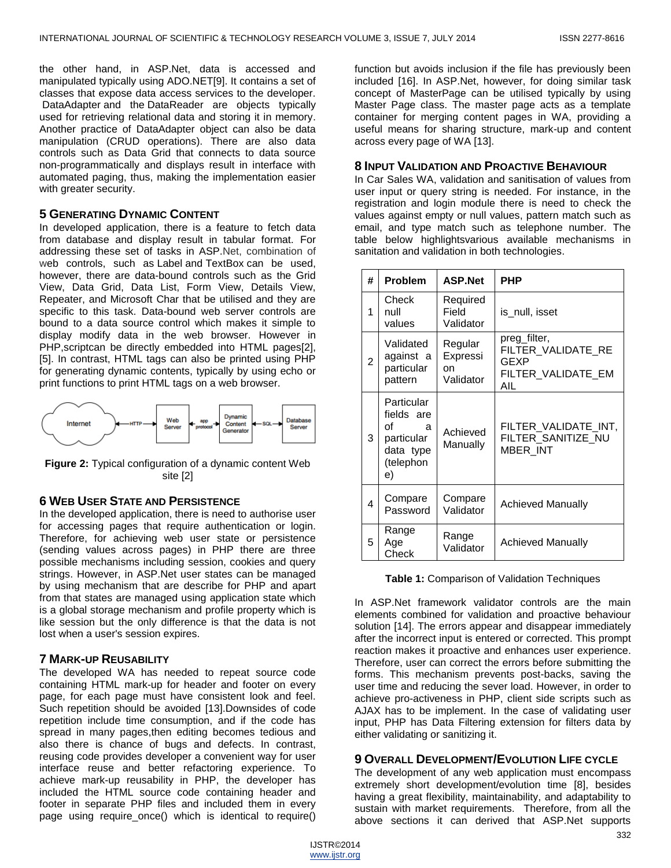the other hand, in ASP.Net, data is accessed and manipulated typically using ADO.NET[9]. It contains a set of classes that expose data access services to the developer. DataAdapter and the DataReader are objects typically used for retrieving relational data and storing it in memory. Another practice of DataAdapter object can also be data manipulation (CRUD operations). There are also data controls such as Data Grid that connects to data source non-programmatically and displays result in interface with automated paging, thus, making the implementation easier with greater security.

#### **5 GENERATING DYNAMIC CONTENT**

In developed application, there is a feature to fetch data from database and display result in tabular format. For addressing these set of tasks in ASP.Net, combination of web controls, such as [Label](http://msdn.microsoft.com/en-us/library/vstudio/system.web.ui.webcontrols.label(v=vs.100).aspx) and [TextBox](http://msdn.microsoft.com/en-us/library/vstudio/system.web.ui.webcontrols.textbox(v=vs.100).aspx) can be used, however, there are data-bound controls such as the Grid View, Data Grid, Data List, Form View, Details View, Repeater, and Microsoft Char that be utilised and they are specific to this task. Data-bound web server controls are bound to a data source control which makes it simple to display modify data in the web browser. However in PHP,scriptcan be directly embedded into HTML pages[2], [5]. In contrast, HTML tags can also be printed using PHP for generating dynamic contents, typically by using echo or print functions to print HTML tags on a web browser.



**Figure 2:** Typical configuration of a dynamic content Web site [2]

### **6 WEB USER STATE AND PERSISTENCE**

In the developed application, there is need to authorise user for accessing pages that require authentication or login. Therefore, for achieving web user state or persistence (sending values across pages) in PHP there are three possible mechanisms including session, cookies and query strings. However, in ASP.Net user states can be managed by using mechanism that are describe for PHP and apart from that states are managed using application state which is a global storage mechanism and profile property which is like session but the only difference is that the data is not lost when a user's session expires.

### **7 MARK-UP REUSABILITY**

The developed WA has needed to repeat source code containing HTML mark-up for header and footer on every page, for each page must have consistent look and feel. Such repetition should be avoided [13].Downsides of code repetition include time consumption, and if the code has spread in many pages,then editing becomes tedious and also there is chance of bugs and defects. In contrast, reusing code provides developer a convenient way for user interface reuse and better refactoring experience. To achieve mark-up reusability in PHP, the developer has included the HTML source code containing header and footer in separate PHP files and included them in every page using require\_once() which is identical to [require\(](http://www.php.net/manual/en/function.require.php))

function but avoids inclusion if the file has previously been included [16]. In ASP.Net, however, for doing similar task concept of MasterPage can be utilised typically by using Master Page class. The master page acts as a template container for merging content pages in WA, providing a useful means for sharing structure, mark-up and content across every page of WA [13].

#### **8 INPUT VALIDATION AND PROACTIVE BEHAVIOUR**

In Car Sales WA, validation and sanitisation of values from user input or query string is needed. For instance, in the registration and login module there is need to check the values against empty or null values, pattern match such as email, and type match such as telephone number. The table below highlightsvarious available mechanisms in sanitation and validation in both technologies.

| #              | <b>Problem</b>                                                                    | <b>ASP.Net</b>                         | PHP                                                                     |
|----------------|-----------------------------------------------------------------------------------|----------------------------------------|-------------------------------------------------------------------------|
| 1              | Check<br>null<br>values                                                           | Required<br>Field<br>Validator         | is_null, isset                                                          |
| $\overline{2}$ | Validated<br>against a<br>particular<br>pattern                                   | Regular<br>Expressi<br>on<br>Validator | preg_filter,<br>FILTER_VALIDATE_RE<br>GEXP<br>FILTER VALIDATE EM<br>AIL |
| 3              | Particular<br>fields are<br>οf<br>a<br>particular<br>data type<br>(telephon<br>e) | Achieved<br>Manually                   | FILTER VALIDATE INT,<br>FILTER SANITIZE NU<br>MBER INT                  |
| 4              | Compare<br>Password                                                               | Compare<br>Validator                   | <b>Achieved Manually</b>                                                |
| 5              | Range<br>Age<br>Check                                                             | Range<br>Validator                     | <b>Achieved Manually</b>                                                |

**Table 1:** Comparison of Validation Techniques

In ASP.Net framework validator controls are the main elements combined for validation and proactive behaviour solution [14]. The errors appear and disappear immediately after the incorrect input is entered or corrected. This prompt reaction makes it proactive and enhances user experience. Therefore, user can correct the errors before submitting the forms. This mechanism prevents post-backs, saving the user time and reducing the sever load. However, in order to achieve pro-activeness in PHP, client side scripts such as AJAX has to be implement. In the case of validating user input, PHP has Data Filtering extension for filters data by either validating or sanitizing it.

### **9 OVERALL DEVELOPMENT/EVOLUTION LIFE CYCLE**

The development of any web application must encompass extremely short development/evolution time [8], besides having a great flexibility, maintainability, and adaptability to sustain with market requirements. Therefore, from all the above sections it can derived that ASP.Net supports